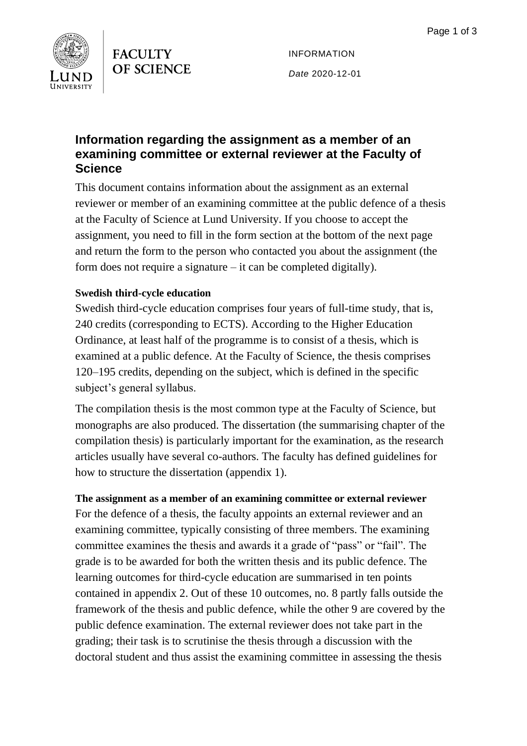

INFORMATION *Date* 2020-12-01

## **Information regarding the assignment as a member of an examining committee or external reviewer at the Faculty of Science**

This document contains information about the assignment as an external reviewer or member of an examining committee at the public defence of a thesis at the Faculty of Science at Lund University. If you choose to accept the assignment, you need to fill in the form section at the bottom of the next page and return the form to the person who contacted you about the assignment (the form does not require a signature – it can be completed digitally).

### **Swedish third-cycle education**

Swedish third-cycle education comprises four years of full-time study, that is, 240 credits (corresponding to ECTS). According to the Higher Education Ordinance, at least half of the programme is to consist of a thesis, which is examined at a public defence. At the Faculty of Science, the thesis comprises 120–195 credits, depending on the subject, which is defined in the specific subject's general syllabus.

The compilation thesis is the most common type at the Faculty of Science, but monographs are also produced. The dissertation (the summarising chapter of the compilation thesis) is particularly important for the examination, as the research articles usually have several co-authors. The faculty has defined guidelines for how to structure the dissertation (appendix 1).

# **The assignment as a member of an examining committee or external reviewer** For the defence of a thesis, the faculty appoints an external reviewer and an examining committee, typically consisting of three members. The examining committee examines the thesis and awards it a grade of "pass" or "fail". The grade is to be awarded for both the written thesis and its public defence. The learning outcomes for third-cycle education are summarised in ten points contained in appendix 2. Out of these 10 outcomes, no. 8 partly falls outside the framework of the thesis and public defence, while the other 9 are covered by the public defence examination. The external reviewer does not take part in the grading; their task is to scrutinise the thesis through a discussion with the doctoral student and thus assist the examining committee in assessing the thesis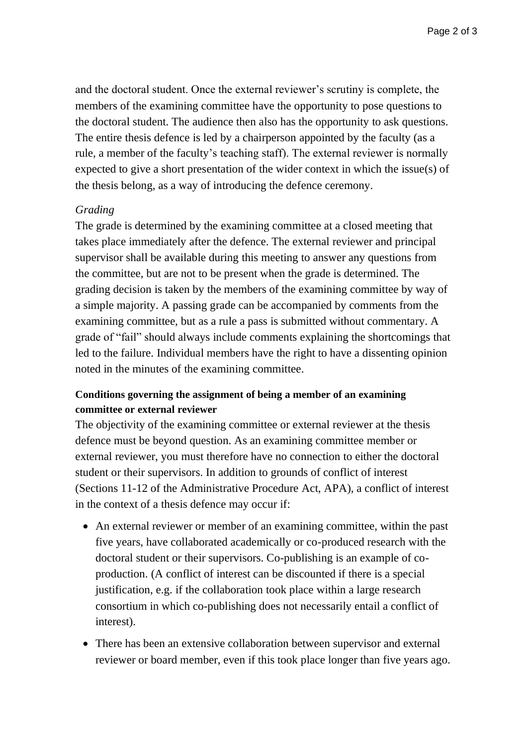and the doctoral student. Once the external reviewer's scrutiny is complete, the members of the examining committee have the opportunity to pose questions to the doctoral student. The audience then also has the opportunity to ask questions. The entire thesis defence is led by a chairperson appointed by the faculty (as a rule, a member of the faculty's teaching staff). The external reviewer is normally expected to give a short presentation of the wider context in which the issue(s) of the thesis belong, as a way of introducing the defence ceremony.

#### *Grading*

The grade is determined by the examining committee at a closed meeting that takes place immediately after the defence. The external reviewer and principal supervisor shall be available during this meeting to answer any questions from the committee, but are not to be present when the grade is determined. The grading decision is taken by the members of the examining committee by way of a simple majority. A passing grade can be accompanied by comments from the examining committee, but as a rule a pass is submitted without commentary. A grade of "fail" should always include comments explaining the shortcomings that led to the failure. Individual members have the right to have a dissenting opinion noted in the minutes of the examining committee.

### **Conditions governing the assignment of being a member of an examining committee or external reviewer**

The objectivity of the examining committee or external reviewer at the thesis defence must be beyond question. As an examining committee member or external reviewer, you must therefore have no connection to either the doctoral student or their supervisors. In addition to grounds of conflict of interest (Sections 11-12 of the Administrative Procedure Act, APA), a conflict of interest in the context of a thesis defence may occur if:

- An external reviewer or member of an examining committee, within the past five years, have collaborated academically or co-produced research with the doctoral student or their supervisors. Co-publishing is an example of coproduction. (A conflict of interest can be discounted if there is a special justification, e.g. if the collaboration took place within a large research consortium in which co-publishing does not necessarily entail a conflict of interest).
- There has been an extensive collaboration between supervisor and external reviewer or board member, even if this took place longer than five years ago.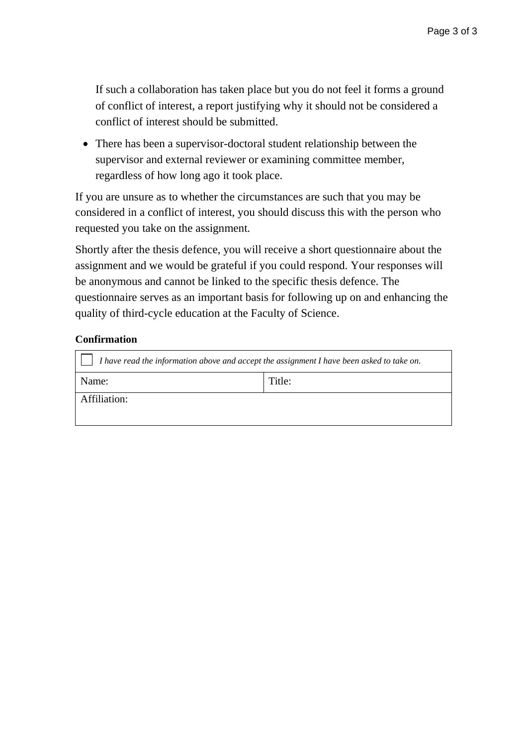If such a collaboration has taken place but you do not feel it forms a ground of conflict of interest, a report justifying why it should not be considered a conflict of interest should be submitted.

• There has been a supervisor-doctoral student relationship between the supervisor and external reviewer or examining committee member, regardless of how long ago it took place.

If you are unsure as to whether the circumstances are such that you may be considered in a conflict of interest, you should discuss this with the person who requested you take on the assignment.

Shortly after the thesis defence, you will receive a short questionnaire about the assignment and we would be grateful if you could respond. Your responses will be anonymous and cannot be linked to the specific thesis defence. The questionnaire serves as an important basis for following up on and enhancing the quality of third-cycle education at the Faculty of Science.

### **Confirmation**

| I have read the information above and accept the assignment I have been asked to take on. |        |
|-------------------------------------------------------------------------------------------|--------|
| Name:                                                                                     | Title: |
| Affiliation:                                                                              |        |
|                                                                                           |        |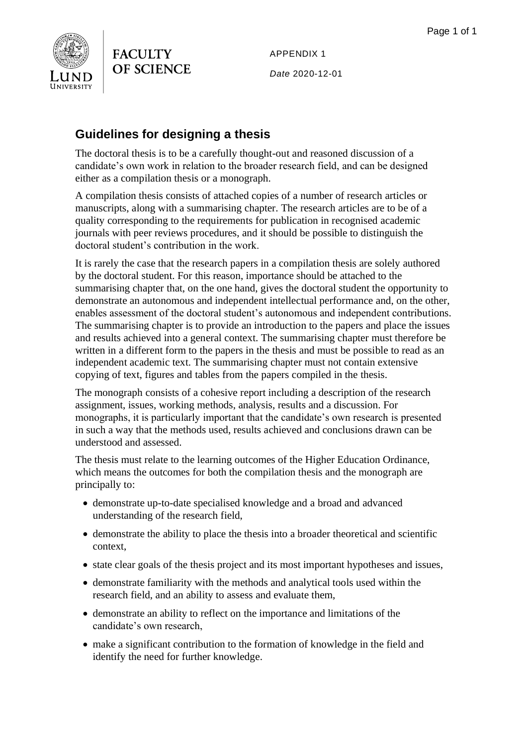

**FACULTY OF SCIENCE**  APPENDIX 1 *Date* 2020-12-01

## **Guidelines for designing a thesis**

The doctoral thesis is to be a carefully thought-out and reasoned discussion of a candidate's own work in relation to the broader research field, and can be designed either as a compilation thesis or a monograph.

A compilation thesis consists of attached copies of a number of research articles or manuscripts, along with a summarising chapter. The research articles are to be of a quality corresponding to the requirements for publication in recognised academic journals with peer reviews procedures, and it should be possible to distinguish the doctoral student's contribution in the work.

It is rarely the case that the research papers in a compilation thesis are solely authored by the doctoral student. For this reason, importance should be attached to the summarising chapter that, on the one hand, gives the doctoral student the opportunity to demonstrate an autonomous and independent intellectual performance and, on the other, enables assessment of the doctoral student's autonomous and independent contributions. The summarising chapter is to provide an introduction to the papers and place the issues and results achieved into a general context. The summarising chapter must therefore be written in a different form to the papers in the thesis and must be possible to read as an independent academic text. The summarising chapter must not contain extensive copying of text, figures and tables from the papers compiled in the thesis.

The monograph consists of a cohesive report including a description of the research assignment, issues, working methods, analysis, results and a discussion. For monographs, it is particularly important that the candidate's own research is presented in such a way that the methods used, results achieved and conclusions drawn can be understood and assessed.

The thesis must relate to the learning outcomes of the Higher Education Ordinance, which means the outcomes for both the compilation thesis and the monograph are principally to:

- demonstrate up-to-date specialised knowledge and a broad and advanced understanding of the research field,
- demonstrate the ability to place the thesis into a broader theoretical and scientific context,
- state clear goals of the thesis project and its most important hypotheses and issues,
- demonstrate familiarity with the methods and analytical tools used within the research field, and an ability to assess and evaluate them,
- demonstrate an ability to reflect on the importance and limitations of the candidate's own research,
- make a significant contribution to the formation of knowledge in the field and identify the need for further knowledge.